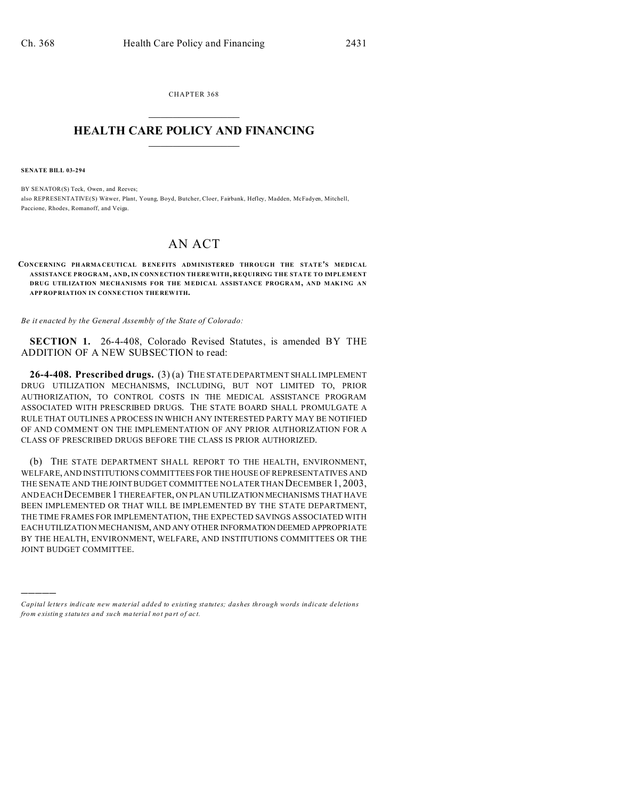CHAPTER 368  $\overline{\phantom{a}}$  , where  $\overline{\phantom{a}}$ 

## **HEALTH CARE POLICY AND FINANCING**  $\_$   $\_$   $\_$   $\_$   $\_$   $\_$   $\_$   $\_$

**SENATE BILL 03-294**

)))))

BY SENATOR(S) Teck, Owen, and Reeves; also REPRESENTATIVE(S) Witwer, Plant, Young, Boyd, Butcher, Cloer, Fairbank, Hefley, Madden, McFadyen, Mitchell, Paccione, Rhodes, Romanoff, and Veiga.

## AN ACT

## **CONCERNING PHARMACEUTICAL BENEFITS ADMINISTERED THROUGH THE STATE'S MEDICAL ASSISTANCE PROGRAM , AND, IN CONN ECTION THEREWITH, REQUIRING THE STATE TO IMPLEM ENT DRUG UTILIZATION MECHANISMS FOR THE M EDICAL ASSISTANCE PROGRAM, AND MAKING AN APP ROP RIATION IN CONNE CTION THE REW ITH.**

*Be it enacted by the General Assembly of the State of Colorado:*

**SECTION 1.** 26-4-408, Colorado Revised Statutes, is amended BY THE ADDITION OF A NEW SUBSECTION to read:

**26-4-408. Prescribed drugs.** (3) (a) THE STATE DEPARTMENT SHALL IMPLEMENT DRUG UTILIZATION MECHANISMS, INCLUDING, BUT NOT LIMITED TO, PRIOR AUTHORIZATION, TO CONTROL COSTS IN THE MEDICAL ASSISTANCE PROGRAM ASSOCIATED WITH PRESCRIBED DRUGS. THE STATE BOARD SHALL PROMULGATE A RULE THAT OUTLINES A PROCESS IN WHICH ANY INTERESTED PARTY MAY BE NOTIFIED OF AND COMMENT ON THE IMPLEMENTATION OF ANY PRIOR AUTHORIZATION FOR A CLASS OF PRESCRIBED DRUGS BEFORE THE CLASS IS PRIOR AUTHORIZED.

(b) THE STATE DEPARTMENT SHALL REPORT TO THE HEALTH, ENVIRONMENT, WELFARE, AND INSTITUTIONS COMMITTEES FOR THE HOUSE OF REPRESENTATIVES AND THE SENATE AND THE JOINT BUDGET COMMITTEE NO LATER THAN DECEMBER 1, 2003, AND EACH DECEMBER 1 THEREAFTER, ON PLAN UTILIZATION MECHANISMS THAT HAVE BEEN IMPLEMENTED OR THAT WILL BE IMPLEMENTED BY THE STATE DEPARTMENT, THE TIME FRAMES FOR IMPLEMENTATION, THE EXPECTED SAVINGS ASSOCIATED WITH EACH UTILIZATION MECHANISM, AND ANY OTHER INFORMATION DEEMED APPROPRIATE BY THE HEALTH, ENVIRONMENT, WELFARE, AND INSTITUTIONS COMMITTEES OR THE JOINT BUDGET COMMITTEE.

*Capital letters indicate new material added to existing statutes; dashes through words indicate deletions from e xistin g statu tes a nd such ma teria l no t pa rt of ac t.*